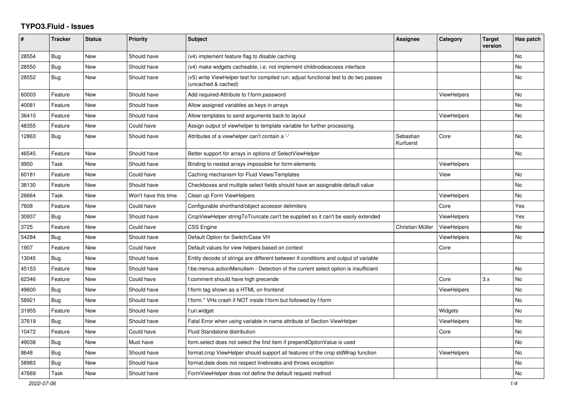## **TYPO3.Fluid - Issues**

| #     | <b>Tracker</b> | <b>Status</b> | <b>Priority</b>      | <b>Subject</b>                                                                                              | Assignee               | Category           | <b>Target</b><br>version | Has patch |
|-------|----------------|---------------|----------------------|-------------------------------------------------------------------------------------------------------------|------------------------|--------------------|--------------------------|-----------|
| 28554 | <b>Bug</b>     | New           | Should have          | (v4) implement feature flag to disable caching                                                              |                        |                    |                          | <b>No</b> |
| 28550 | <b>Bug</b>     | New           | Should have          | (v4) make widgets cacheable, i.e. not implement childnodeaccess interface                                   |                        |                    |                          | <b>No</b> |
| 28552 | <b>Bug</b>     | New           | Should have          | (v5) write ViewHelper test for compiled run; adjust functional test to do two passes<br>(uncached & cached) |                        |                    |                          | No        |
| 60003 | Feature        | New           | Should have          | Add required-Attribute to f:form.password                                                                   |                        | <b>ViewHelpers</b> |                          | <b>No</b> |
| 40081 | Feature        | New           | Should have          | Allow assigned variables as keys in arrays                                                                  |                        |                    |                          | No        |
| 36410 | Feature        | New           | Should have          | Allow templates to send arguments back to layout                                                            |                        | <b>ViewHelpers</b> |                          | <b>No</b> |
| 48355 | Feature        | New           | Could have           | Assign output of viewhelper to template variable for further processing.                                    |                        |                    |                          |           |
| 12863 | Bug            | New           | Should have          | Attributes of a viewhelper can't contain a '-'                                                              | Sebastian<br>Kurfuerst | Core               |                          | No        |
| 46545 | Feature        | New           | Should have          | Better support for arrays in options of SelectViewHelper                                                    |                        |                    |                          | No        |
| 9950  | Task           | New           | Should have          | Binding to nested arrays impossible for form-elements                                                       |                        | ViewHelpers        |                          |           |
| 60181 | Feature        | New           | Could have           | Caching mechanism for Fluid Views/Templates                                                                 |                        | View               |                          | No        |
| 38130 | Feature        | <b>New</b>    | Should have          | Checkboxes and multiple select fields should have an assignable default value                               |                        |                    |                          | <b>No</b> |
| 26664 | Task           | New           | Won't have this time | Clean up Form ViewHelpers                                                                                   |                        | ViewHelpers        |                          | <b>No</b> |
| 7608  | Feature        | New           | Could have           | Configurable shorthand/object accessor delimiters                                                           |                        | Core               |                          | Yes       |
| 30937 | Bug            | New           | Should have          | CropViewHelper stringToTruncate can't be supplied so it can't be easily extended                            |                        | <b>ViewHelpers</b> |                          | Yes       |
| 3725  | Feature        | New           | Could have           | <b>CSS Engine</b>                                                                                           | Christian Müller       | ViewHelpers        |                          | No        |
| 54284 | <b>Bug</b>     | New           | Should have          | Default Option for Switch/Case VH                                                                           |                        | <b>ViewHelpers</b> |                          | No        |
| 1907  | Feature        | New           | Could have           | Default values for view helpers based on context                                                            |                        | Core               |                          |           |
| 13045 | Bug            | <b>New</b>    | Should have          | Entity decode of strings are different between if-conditions and output of variable                         |                        |                    |                          |           |
| 45153 | Feature        | New           | Should have          | f:be.menus.actionMenuItem - Detection of the current select option is insufficient                          |                        |                    |                          | No        |
| 62346 | Feature        | <b>New</b>    | Could have           | f:comment should have high precende                                                                         |                        | Core               | 3.x                      | <b>No</b> |
| 49600 | Bug            | <b>New</b>    | Should have          | f:form tag shown as a HTML on frontend                                                                      |                        | ViewHelpers        |                          | <b>No</b> |
| 58921 | Bug            | New           | Should have          | f:form.* VHs crash if NOT inside f:form but followed by f:form                                              |                        |                    |                          | No        |
| 31955 | Feature        | New           | Should have          | f:uri.widget                                                                                                |                        | Widgets            |                          | No        |
| 37619 | <b>Bug</b>     | New           | Should have          | Fatal Error when using variable in name attribute of Section ViewHelper                                     |                        | <b>ViewHelpers</b> |                          | No        |
| 10472 | Feature        | New           | Could have           | Fluid Standalone distribution                                                                               |                        | Core               |                          | <b>No</b> |
| 49038 | Bug            | New           | Must have            | form select does not select the first item if prependOptionValue is used                                    |                        |                    |                          | No        |
| 8648  | Bug            | New           | Should have          | format.crop ViewHelper should support all features of the crop stdWrap function                             |                        | <b>ViewHelpers</b> |                          | No        |
| 58983 | Bug            | New           | Should have          | format.date does not respect linebreaks and throws exception                                                |                        |                    |                          | No        |
| 47669 | Task           | New           | Should have          | FormViewHelper does not define the default request method                                                   |                        |                    |                          | No        |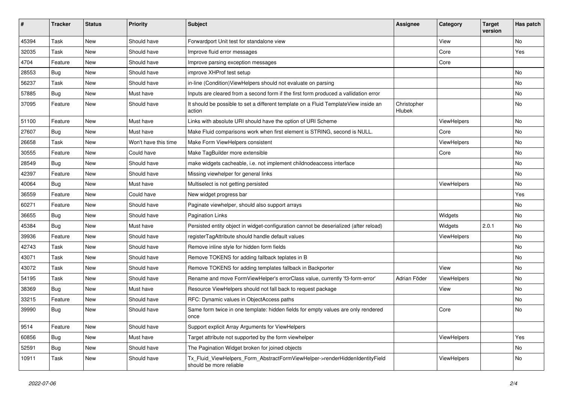| $\vert$ # | <b>Tracker</b> | <b>Status</b> | <b>Priority</b>      | <b>Subject</b>                                                                                         | <b>Assignee</b>       | Category    | <b>Target</b><br>version | Has patch |
|-----------|----------------|---------------|----------------------|--------------------------------------------------------------------------------------------------------|-----------------------|-------------|--------------------------|-----------|
| 45394     | Task           | New           | Should have          | Forwardport Unit test for standalone view                                                              |                       | View        |                          | <b>No</b> |
| 32035     | Task           | New           | Should have          | Improve fluid error messages                                                                           |                       | Core        |                          | Yes       |
| 4704      | Feature        | New           | Should have          | Improve parsing exception messages                                                                     |                       | Core        |                          |           |
| 28553     | Bug            | New           | Should have          | improve XHProf test setup                                                                              |                       |             |                          | No        |
| 56237     | Task           | New           | Should have          | in-line (Condition) View Helpers should not evaluate on parsing                                        |                       |             |                          | No        |
| 57885     | Bug            | New           | Must have            | Inputs are cleared from a second form if the first form produced a vallidation error                   |                       |             |                          | No        |
| 37095     | Feature        | New           | Should have          | It should be possible to set a different template on a Fluid TemplateView inside an<br>action          | Christopher<br>Hlubek |             |                          | No        |
| 51100     | Feature        | New           | Must have            | Links with absolute URI should have the option of URI Scheme                                           |                       | ViewHelpers |                          | No        |
| 27607     | <b>Bug</b>     | New           | Must have            | Make Fluid comparisons work when first element is STRING, second is NULL.                              |                       | Core        |                          | No        |
| 26658     | Task           | <b>New</b>    | Won't have this time | Make Form ViewHelpers consistent                                                                       |                       | ViewHelpers |                          | No        |
| 30555     | Feature        | New           | Could have           | Make TagBuilder more extensible                                                                        |                       | Core        |                          | No        |
| 28549     | Bug            | New           | Should have          | make widgets cacheable, i.e. not implement childnodeaccess interface                                   |                       |             |                          | No        |
| 42397     | Feature        | New           | Should have          | Missing viewhelper for general links                                                                   |                       |             |                          | No        |
| 40064     | <b>Bug</b>     | New           | Must have            | Multiselect is not getting persisted                                                                   |                       | ViewHelpers |                          | No        |
| 36559     | Feature        | New           | Could have           | New widget progress bar                                                                                |                       |             |                          | Yes       |
| 60271     | Feature        | New           | Should have          | Paginate viewhelper, should also support arrays                                                        |                       |             |                          | No        |
| 36655     | Bug            | New           | Should have          | <b>Pagination Links</b>                                                                                |                       | Widgets     |                          | No        |
| 45384     | Bug            | New           | Must have            | Persisted entity object in widget-configuration cannot be deserialized (after reload)                  |                       | Widgets     | 2.0.1                    | No        |
| 39936     | Feature        | New           | Should have          | registerTagAttribute should handle default values                                                      |                       | ViewHelpers |                          | No        |
| 42743     | Task           | New           | Should have          | Remove inline style for hidden form fields                                                             |                       |             |                          | No        |
| 43071     | Task           | New           | Should have          | Remove TOKENS for adding fallback teplates in B                                                        |                       |             |                          | No        |
| 43072     | Task           | New           | Should have          | Remove TOKENS for adding templates fallback in Backporter                                              |                       | View        |                          | No        |
| 54195     | Task           | <b>New</b>    | Should have          | Rename and move FormViewHelper's errorClass value, currently 'f3-form-error'                           | Adrian Föder          | ViewHelpers |                          | No        |
| 38369     | Bug            | New           | Must have            | Resource ViewHelpers should not fall back to request package                                           |                       | View        |                          | No        |
| 33215     | Feature        | New           | Should have          | RFC: Dynamic values in ObjectAccess paths                                                              |                       |             |                          | No        |
| 39990     | Bug            | New           | Should have          | Same form twice in one template: hidden fields for empty values are only rendered<br>once              |                       | Core        |                          | No        |
| 9514      | Feature        | New           | Should have          | Support explicit Array Arguments for ViewHelpers                                                       |                       |             |                          |           |
| 60856     | Bug            | New           | Must have            | Target attribute not supported by the form viewhelper                                                  |                       | ViewHelpers |                          | Yes       |
| 52591     | <b>Bug</b>     | New           | Should have          | The Pagination Widget broken for joined objects                                                        |                       |             |                          | No        |
| 10911     | Task           | New           | Should have          | Tx_Fluid_ViewHelpers_Form_AbstractFormViewHelper->renderHiddenIdentityField<br>should be more reliable |                       | ViewHelpers |                          | No        |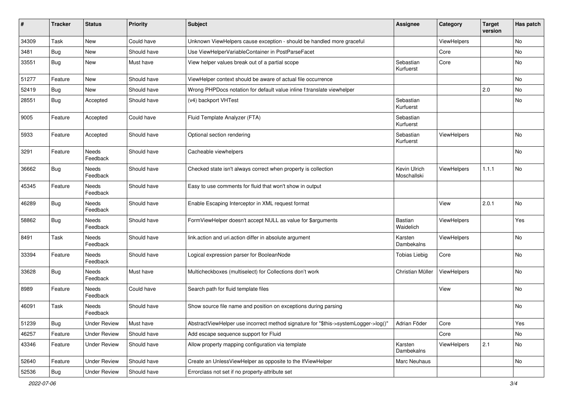| #     | <b>Tracker</b> | <b>Status</b>            | <b>Priority</b> | Subject                                                                             | <b>Assignee</b>             | Category    | <b>Target</b><br>version | Has patch |
|-------|----------------|--------------------------|-----------------|-------------------------------------------------------------------------------------|-----------------------------|-------------|--------------------------|-----------|
| 34309 | Task           | New                      | Could have      | Unknown ViewHelpers cause exception - should be handled more graceful               |                             | ViewHelpers |                          | No        |
| 3481  | Bug            | New                      | Should have     | Use ViewHelperVariableContainer in PostParseFacet                                   |                             | Core        |                          | No        |
| 33551 | Bug            | New                      | Must have       | View helper values break out of a partial scope                                     | Sebastian<br>Kurfuerst      | Core        |                          | No        |
| 51277 | Feature        | New                      | Should have     | ViewHelper context should be aware of actual file occurrence                        |                             |             |                          | <b>No</b> |
| 52419 | Bug            | New                      | Should have     | Wrong PHPDocs notation for default value inline f:translate viewhelper              |                             |             | 2.0                      | <b>No</b> |
| 28551 | Bug            | Accepted                 | Should have     | (v4) backport VHTest                                                                | Sebastian<br>Kurfuerst      |             |                          | No        |
| 9005  | Feature        | Accepted                 | Could have      | Fluid Template Analyzer (FTA)                                                       | Sebastian<br>Kurfuerst      |             |                          |           |
| 5933  | Feature        | Accepted                 | Should have     | Optional section rendering                                                          | Sebastian<br>Kurfuerst      | ViewHelpers |                          | No        |
| 3291  | Feature        | Needs<br>Feedback        | Should have     | Cacheable viewhelpers                                                               |                             |             |                          | No        |
| 36662 | <b>Bug</b>     | <b>Needs</b><br>Feedback | Should have     | Checked state isn't always correct when property is collection                      | Kevin Ulrich<br>Moschallski | ViewHelpers | 1.1.1                    | <b>No</b> |
| 45345 | Feature        | Needs<br>Feedback        | Should have     | Easy to use comments for fluid that won't show in output                            |                             |             |                          |           |
| 46289 | Bug            | Needs<br>Feedback        | Should have     | Enable Escaping Interceptor in XML request format                                   |                             | View        | 2.0.1                    | No        |
| 58862 | Bug            | Needs<br>Feedback        | Should have     | FormViewHelper doesn't accept NULL as value for \$arguments                         | Bastian<br>Waidelich        | ViewHelpers |                          | Yes       |
| 8491  | Task           | Needs<br>Feedback        | Should have     | link.action and uri.action differ in absolute argument                              | Karsten<br>Dambekalns       | ViewHelpers |                          | No        |
| 33394 | Feature        | Needs<br>Feedback        | Should have     | Logical expression parser for BooleanNode                                           | <b>Tobias Liebig</b>        | Core        |                          | <b>No</b> |
| 33628 | Bug            | Needs<br>Feedback        | Must have       | Multicheckboxes (multiselect) for Collections don't work                            | Christian Müller            | ViewHelpers |                          | No        |
| 8989  | Feature        | Needs<br>Feedback        | Could have      | Search path for fluid template files                                                |                             | View        |                          | No        |
| 46091 | Task           | Needs<br>Feedback        | Should have     | Show source file name and position on exceptions during parsing                     |                             |             |                          | No        |
| 51239 | <b>Bug</b>     | <b>Under Review</b>      | Must have       | AbstractViewHelper use incorrect method signature for "\$this->systemLogger->log()" | Adrian Föder                | Core        |                          | Yes       |
| 46257 | Feature        | <b>Under Review</b>      | Should have     | Add escape sequence support for Fluid                                               |                             | Core        |                          | No        |
| 43346 | Feature        | <b>Under Review</b>      | Should have     | Allow property mapping configuration via template                                   | Karsten<br>Dambekalns       | ViewHelpers | 2.1                      | No        |
| 52640 | Feature        | <b>Under Review</b>      | Should have     | Create an UnlessViewHelper as opposite to the IfViewHelper                          | Marc Neuhaus                |             |                          | No        |
| 52536 | <b>Bug</b>     | <b>Under Review</b>      | Should have     | Errorclass not set if no property-attribute set                                     |                             |             |                          |           |